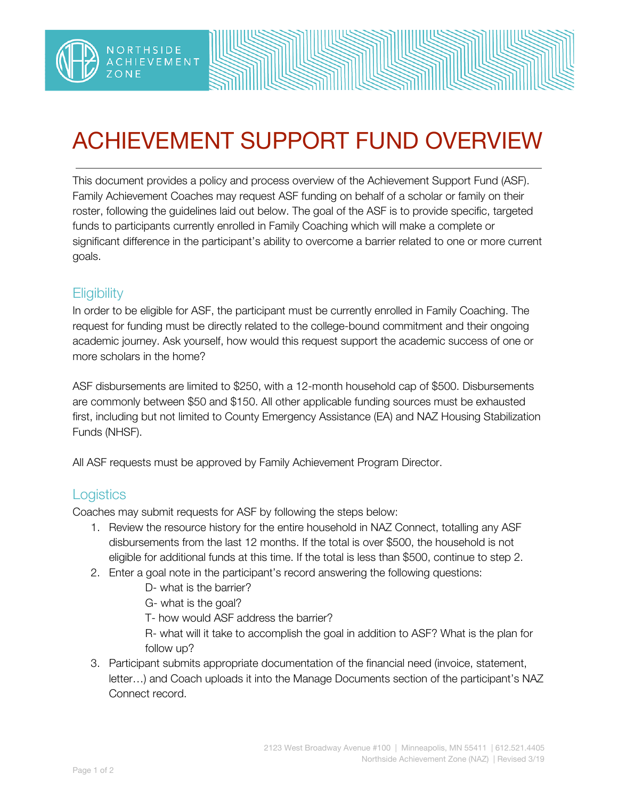

## ACHIEVEMENT SUPPORT FUND OVERVIEW

This document provides a policy and process overview of the Achievement Support Fund (ASF). Family Achievement Coaches may request ASF funding on behalf of a scholar or family on their roster, following the guidelines laid out below. The goal of the ASF is to provide specific, targeted funds to participants currently enrolled in Family Coaching which will make a complete or significant difference in the participant's ability to overcome a barrier related to one or more current goals.

## **Eligibility**

**NORTHSIDE** 

In order to be eligible for ASF, the participant must be currently enrolled in Family Coaching. The request for funding must be directly related to the college-bound commitment and their ongoing academic journey. Ask yourself, how would this request support the academic success of one or more scholars in the home?

ASF disbursements are limited to \$250, with a 12-month household cap of \$500. Disbursements are commonly between \$50 and \$150. All other applicable funding sources must be exhausted first, including but not limited to County Emergency Assistance (EA) and NAZ Housing Stabilization Funds (NHSF).

All ASF requests must be approved by Family Achievement Program Director.

## **Logistics**

Coaches may submit requests for ASF by following the steps below:

- 1. Review the resource history for the entire household in NAZ Connect, totalling any ASF disbursements from the last 12 months. If the total is over \$500, the household is not eligible for additional funds at this time. If the total is less than \$500, continue to step 2.
- 2. Enter a goal note in the participant's record answering the following questions:
	- D- what is the barrier?
	- G- what is the goal?
	- T- how would ASF address the barrier?

R- what will it take to accomplish the goal in addition to ASF? What is the plan for follow up?

3. Participant submits appropriate documentation of the financial need (invoice, statement, letter…) and Coach uploads it into the Manage Documents section of the participant's NAZ Connect record.